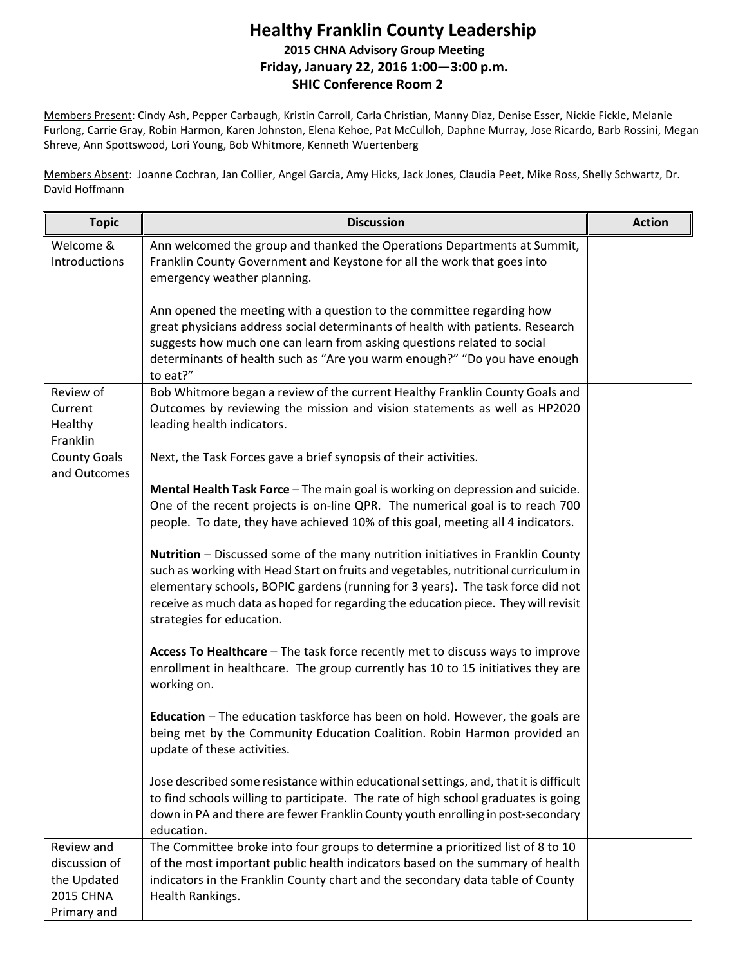## **Healthy Franklin County Leadership 2015 CHNA Advisory Group Meeting Friday, January 22, 2016 1:00—3:00 p.m. SHIC Conference Room 2**

Members Present: Cindy Ash, Pepper Carbaugh, Kristin Carroll, Carla Christian, Manny Diaz, Denise Esser, Nickie Fickle, Melanie Furlong, Carrie Gray, Robin Harmon, Karen Johnston, Elena Kehoe, Pat McCulloh, Daphne Murray, Jose Ricardo, Barb Rossini, Megan Shreve, Ann Spottswood, Lori Young, Bob Whitmore, Kenneth Wuertenberg

Members Absent: Joanne Cochran, Jan Collier, Angel Garcia, Amy Hicks, Jack Jones, Claudia Peet, Mike Ross, Shelly Schwartz, Dr. David Hoffmann

| <b>Topic</b>                                                                  | <b>Discussion</b>                                                                                                                                                                                                                                                                                                                                                            | <b>Action</b> |
|-------------------------------------------------------------------------------|------------------------------------------------------------------------------------------------------------------------------------------------------------------------------------------------------------------------------------------------------------------------------------------------------------------------------------------------------------------------------|---------------|
| Welcome &<br>Introductions                                                    | Ann welcomed the group and thanked the Operations Departments at Summit,<br>Franklin County Government and Keystone for all the work that goes into<br>emergency weather planning.                                                                                                                                                                                           |               |
|                                                                               | Ann opened the meeting with a question to the committee regarding how<br>great physicians address social determinants of health with patients. Research<br>suggests how much one can learn from asking questions related to social<br>determinants of health such as "Are you warm enough?" "Do you have enough<br>to eat?"                                                  |               |
| Review of<br>Current<br>Healthy<br>Franklin                                   | Bob Whitmore began a review of the current Healthy Franklin County Goals and<br>Outcomes by reviewing the mission and vision statements as well as HP2020<br>leading health indicators.                                                                                                                                                                                      |               |
| <b>County Goals</b><br>and Outcomes                                           | Next, the Task Forces gave a brief synopsis of their activities.                                                                                                                                                                                                                                                                                                             |               |
|                                                                               | Mental Health Task Force - The main goal is working on depression and suicide.<br>One of the recent projects is on-line QPR. The numerical goal is to reach 700<br>people. To date, they have achieved 10% of this goal, meeting all 4 indicators.                                                                                                                           |               |
|                                                                               | Nutrition - Discussed some of the many nutrition initiatives in Franklin County<br>such as working with Head Start on fruits and vegetables, nutritional curriculum in<br>elementary schools, BOPIC gardens (running for 3 years). The task force did not<br>receive as much data as hoped for regarding the education piece. They will revisit<br>strategies for education. |               |
|                                                                               | Access To Healthcare - The task force recently met to discuss ways to improve<br>enrollment in healthcare. The group currently has 10 to 15 initiatives they are<br>working on.                                                                                                                                                                                              |               |
|                                                                               | <b>Education</b> – The education taskforce has been on hold. However, the goals are<br>being met by the Community Education Coalition. Robin Harmon provided an<br>update of these activities.                                                                                                                                                                               |               |
|                                                                               | Jose described some resistance within educational settings, and, that it is difficult<br>to find schools willing to participate. The rate of high school graduates is going<br>down in PA and there are fewer Franklin County youth enrolling in post-secondary<br>education.                                                                                                |               |
| Review and<br>discussion of<br>the Updated<br><b>2015 CHNA</b><br>Primary and | The Committee broke into four groups to determine a prioritized list of 8 to 10<br>of the most important public health indicators based on the summary of health<br>indicators in the Franklin County chart and the secondary data table of County<br>Health Rankings.                                                                                                       |               |